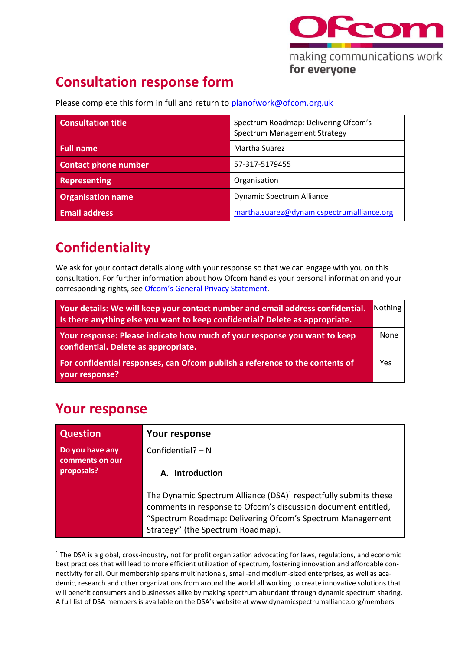

# **Consultation response form**

Please complete this form in full and return to [planofwork@ofcom.org.uk](mailto:planofwork@ofcom.org.uk)

| <b>Consultation title</b>   | Spectrum Roadmap: Delivering Ofcom's<br>Spectrum Management Strategy |
|-----------------------------|----------------------------------------------------------------------|
| <b>Full name</b>            | Martha Suarez                                                        |
| <b>Contact phone number</b> | 57-317-5179455                                                       |
| <b>Representing</b>         | Organisation                                                         |
| <b>Organisation name</b>    | Dynamic Spectrum Alliance                                            |
| <b>Email address</b>        | martha.suarez@dynamicspectrumalliance.org                            |

## **Confidentiality**

We ask for your contact details along with your response so that we can engage with you on this consultation. For further information about how Ofcom handles your personal information and your corresponding rights, see [Ofcom's General Privacy Statement](http://www.ofcom.org.uk/about-ofcom/foi-dp/general-privacy-statement).

| Your details: We will keep your contact number and email address confidential.<br>Is there anything else you want to keep confidential? Delete as appropriate. | Nothing |
|----------------------------------------------------------------------------------------------------------------------------------------------------------------|---------|
| Your response: Please indicate how much of your response you want to keep<br>confidential. Delete as appropriate.                                              | None    |
| For confidential responses, can Ofcom publish a reference to the contents of<br>your response?                                                                 | Yes     |

## **Your response**

| Question                                         | Your response                                                                                                                                                                                                                                  |
|--------------------------------------------------|------------------------------------------------------------------------------------------------------------------------------------------------------------------------------------------------------------------------------------------------|
| Do you have any<br>comments on our<br>proposals? | Confidential? $- N$<br>A. Introduction                                                                                                                                                                                                         |
|                                                  | The Dynamic Spectrum Alliance (DSA) <sup>1</sup> respectfully submits these<br>comments in response to Ofcom's discussion document entitled,<br>"Spectrum Roadmap: Delivering Ofcom's Spectrum Management<br>Strategy" (the Spectrum Roadmap). |

 $1$  The DSA is a global, cross-industry, not for profit organization advocating for laws, regulations, and economic best practices that will lead to more efficient utilization of spectrum, fostering innovation and affordable connectivity for all. Our membership spans multinationals, small-and medium-sized enterprises, as well as academic, research and other organizations from around the world all working to create innovative solutions that will benefit consumers and businesses alike by making spectrum abundant through dynamic spectrum sharing. A full list of DSA members is available on the DSA's website at www.dynamicspectrumalliance.org/members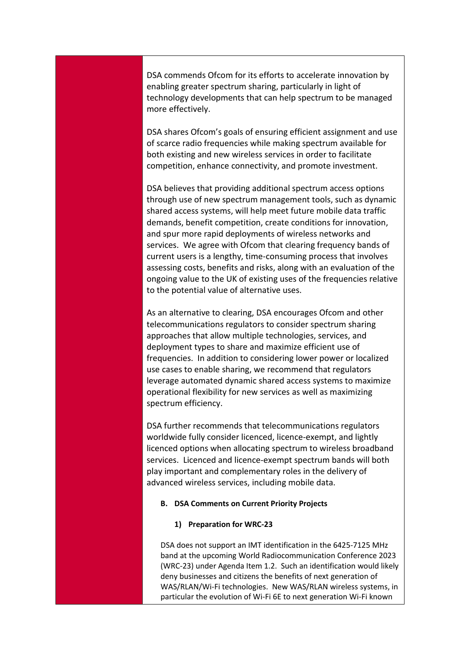DSA commends Ofcom for its efforts to accelerate innovation by enabling greater spectrum sharing, particularly in light of technology developments that can help spectrum to be managed more effectively.

DSA shares Ofcom's goals of ensuring efficient assignment and use of scarce radio frequencies while making spectrum available for both existing and new wireless services in order to facilitate competition, enhance connectivity, and promote investment.

DSA believes that providing additional spectrum access options through use of new spectrum management tools, such as dynamic shared access systems, will help meet future mobile data traffic demands, benefit competition, create conditions for innovation, and spur more rapid deployments of wireless networks and services. We agree with Ofcom that clearing frequency bands of current users is a lengthy, time-consuming process that involves assessing costs, benefits and risks, along with an evaluation of the ongoing value to the UK of existing uses of the frequencies relative to the potential value of alternative uses.

As an alternative to clearing, DSA encourages Ofcom and other telecommunications regulators to consider spectrum sharing approaches that allow multiple technologies, services, and deployment types to share and maximize efficient use of frequencies. In addition to considering lower power or localized use cases to enable sharing, we recommend that regulators leverage automated dynamic shared access systems to maximize operational flexibility for new services as well as maximizing spectrum efficiency.

DSA further recommends that telecommunications regulators worldwide fully consider licenced, licence-exempt, and lightly licenced options when allocating spectrum to wireless broadband services. Licenced and licence-exempt spectrum bands will both play important and complementary roles in the delivery of advanced wireless services, including mobile data.

#### **B. DSA Comments on Current Priority Projects**

**1) Preparation for WRC-23**

DSA does not support an IMT identification in the 6425-7125 MHz band at the upcoming World Radiocommunication Conference 2023 (WRC-23) under Agenda Item 1.2. Such an identification would likely deny businesses and citizens the benefits of next generation of WAS/RLAN/Wi-Fi technologies. New WAS/RLAN wireless systems, in particular the evolution of Wi-Fi 6E to next generation Wi-Fi known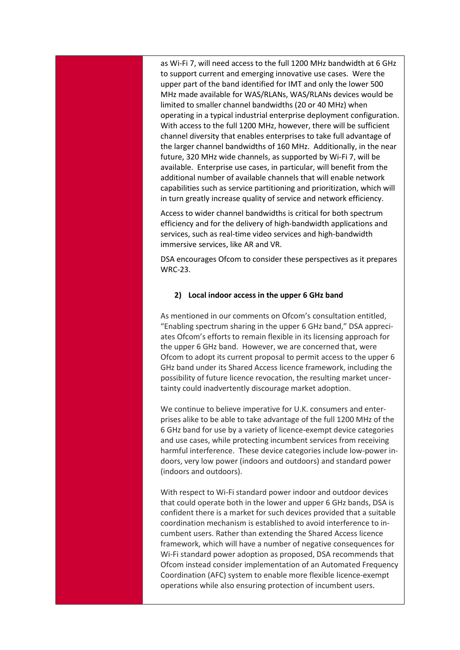as Wi-Fi 7, will need access to the full 1200 MHz bandwidth at 6 GHz to support current and emerging innovative use cases. Were the upper part of the band identified for IMT and only the lower 500 MHz made available for WAS/RLANs, WAS/RLANs devices would be limited to smaller channel bandwidths (20 or 40 MHz) when operating in a typical industrial enterprise deployment configuration. With access to the full 1200 MHz, however, there will be sufficient channel diversity that enables enterprises to take full advantage of the larger channel bandwidths of 160 MHz. Additionally, in the near future, 320 MHz wide channels, as supported by Wi-Fi 7, will be available. Enterprise use cases, in particular, will benefit from the additional number of available channels that will enable network capabilities such as service partitioning and prioritization, which will in turn greatly increase quality of service and network efficiency.

Access to wider channel bandwidths is critical for both spectrum efficiency and for the delivery of high-bandwidth applications and services, such as real-time video services and high-bandwidth immersive services, like AR and VR.

DSA encourages Ofcom to consider these perspectives as it prepares WRC-23.

#### **2) Local indoor access in the upper 6 GHz band**

As mentioned in our comments on Ofcom's consultation entitled, "Enabling spectrum sharing in the upper 6 GHz band," DSA appreciates Ofcom's efforts to remain flexible in its licensing approach for the upper 6 GHz band. However, we are concerned that, were Ofcom to adopt its current proposal to permit access to the upper 6 GHz band under its Shared Access licence framework, including the possibility of future licence revocation, the resulting market uncertainty could inadvertently discourage market adoption.

We continue to believe imperative for U.K. consumers and enterprises alike to be able to take advantage of the full 1200 MHz of the 6 GHz band for use by a variety of licence-exempt device categories and use cases, while protecting incumbent services from receiving harmful interference. These device categories include low-power indoors, very low power (indoors and outdoors) and standard power (indoors and outdoors).

With respect to Wi-Fi standard power indoor and outdoor devices that could operate both in the lower and upper 6 GHz bands, DSA is confident there is a market for such devices provided that a suitable coordination mechanism is established to avoid interference to incumbent users. Rather than extending the Shared Access licence framework, which will have a number of negative consequences for Wi-Fi standard power adoption as proposed, DSA recommends that Ofcom instead consider implementation of an Automated Frequency Coordination (AFC) system to enable more flexible licence-exempt operations while also ensuring protection of incumbent users.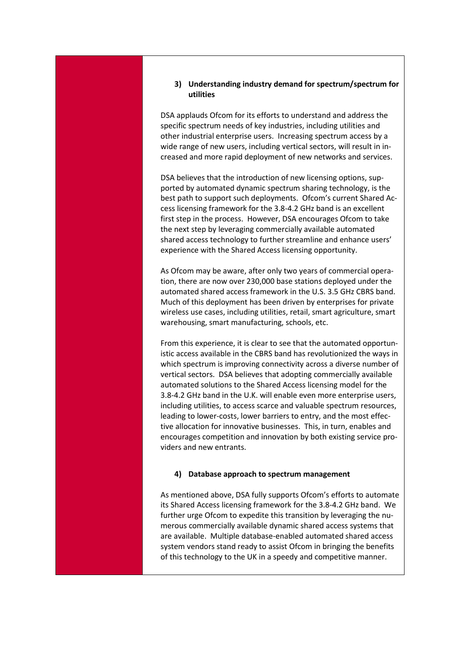### **3) Understanding industry demand for spectrum/spectrum for utilities**

DSA applauds Ofcom for its efforts to understand and address the specific spectrum needs of key industries, including utilities and other industrial enterprise users. Increasing spectrum access by a wide range of new users, including vertical sectors, will result in increased and more rapid deployment of new networks and services.

DSA believes that the introduction of new licensing options, supported by automated dynamic spectrum sharing technology, is the best path to support such deployments. Ofcom's current Shared Access licensing framework for the 3.8-4.2 GHz band is an excellent first step in the process. However, DSA encourages Ofcom to take the next step by leveraging commercially available automated shared access technology to further streamline and enhance users' experience with the Shared Access licensing opportunity.

As Ofcom may be aware, after only two years of commercial operation, there are now over 230,000 base stations deployed under the automated shared access framework in the U.S. 3.5 GHz CBRS band. Much of this deployment has been driven by enterprises for private wireless use cases, including utilities, retail, smart agriculture, smart warehousing, smart manufacturing, schools, etc.

From this experience, it is clear to see that the automated opportunistic access available in the CBRS band has revolutionized the ways in which spectrum is improving connectivity across a diverse number of vertical sectors. DSA believes that adopting commercially available automated solutions to the Shared Access licensing model for the 3.8-4.2 GHz band in the U.K. will enable even more enterprise users, including utilities, to access scarce and valuable spectrum resources, leading to lower-costs, lower barriers to entry, and the most effective allocation for innovative businesses. This, in turn, enables and encourages competition and innovation by both existing service providers and new entrants.

#### **4) Database approach to spectrum management**

As mentioned above, DSA fully supports Ofcom's efforts to automate its Shared Access licensing framework for the 3.8-4.2 GHz band. We further urge Ofcom to expedite this transition by leveraging the numerous commercially available dynamic shared access systems that are available. Multiple database-enabled automated shared access system vendors stand ready to assist Ofcom in bringing the benefits of this technology to the UK in a speedy and competitive manner.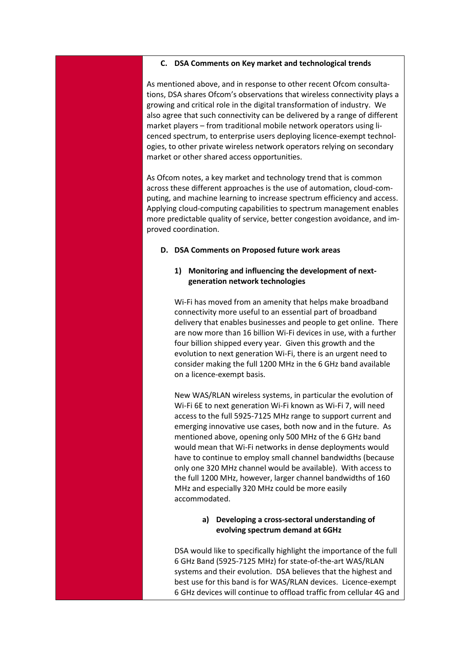#### **C. DSA Comments on Key market and technological trends**

As mentioned above, and in response to other recent Ofcom consultations, DSA shares Ofcom's observations that wireless connectivity plays a growing and critical role in the digital transformation of industry. We also agree that such connectivity can be delivered by a range of different market players – from traditional mobile network operators using licenced spectrum, to enterprise users deploying licence-exempt technologies, to other private wireless network operators relying on secondary market or other shared access opportunities.

As Ofcom notes, a key market and technology trend that is common across these different approaches is the use of automation, cloud-computing, and machine learning to increase spectrum efficiency and access. Applying cloud-computing capabilities to spectrum management enables more predictable quality of service, better congestion avoidance, and improved coordination.

#### **D. DSA Comments on Proposed future work areas**

### **1) Monitoring and influencing the development of nextgeneration network technologies**

Wi-Fi has moved from an amenity that helps make broadband connectivity more useful to an essential part of broadband delivery that enables businesses and people to get online. There are now more than 16 billion Wi-Fi devices in use, with a further four billion shipped every year. Given this growth and the evolution to next generation Wi-Fi, there is an urgent need to consider making the full 1200 MHz in the 6 GHz band available on a licence-exempt basis.

New WAS/RLAN wireless systems, in particular the evolution of Wi-Fi 6E to next generation Wi-Fi known as Wi-Fi 7, will need access to the full 5925-7125 MHz range to support current and emerging innovative use cases, both now and in the future. As mentioned above, opening only 500 MHz of the 6 GHz band would mean that Wi-Fi networks in dense deployments would have to continue to employ small channel bandwidths (because only one 320 MHz channel would be available). With access to the full 1200 MHz, however, larger channel bandwidths of 160 MHz and especially 320 MHz could be more easily accommodated.

#### **a) Developing a cross-sectoral understanding of evolving spectrum demand at 6GHz**

DSA would like to specifically highlight the importance of the full 6 GHz Band (5925-7125 MHz) for state-of-the-art WAS/RLAN systems and their evolution. DSA believes that the highest and best use for this band is for WAS/RLAN devices. Licence-exempt 6 GHz devices will continue to offload traffic from cellular 4G and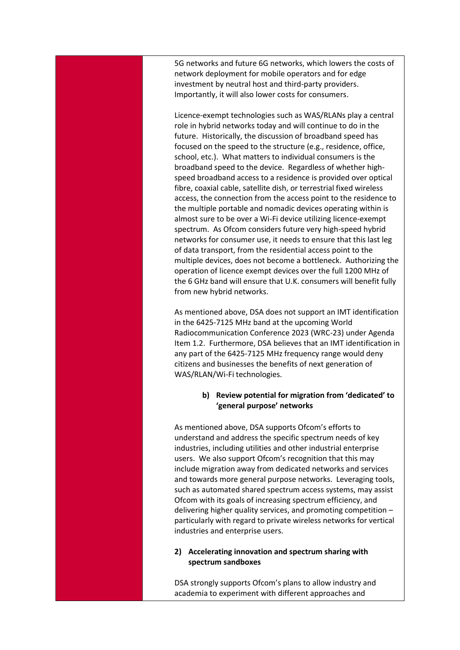5G networks and future 6G networks, which lowers the costs of network deployment for mobile operators and for edge investment by neutral host and third-party providers. Importantly, it will also lower costs for consumers.

Licence-exempt technologies such as WAS/RLANs play a central role in hybrid networks today and will continue to do in the future. Historically, the discussion of broadband speed has focused on the speed to the structure (e.g., residence, office, school, etc.). What matters to individual consumers is the broadband speed to the device. Regardless of whether highspeed broadband access to a residence is provided over optical fibre, coaxial cable, satellite dish, or terrestrial fixed wireless access, the connection from the access point to the residence to the multiple portable and nomadic devices operating within is almost sure to be over a Wi-Fi device utilizing licence-exempt spectrum. As Ofcom considers future very high-speed hybrid networks for consumer use, it needs to ensure that this last leg of data transport, from the residential access point to the multiple devices, does not become a bottleneck. Authorizing the operation of licence exempt devices over the full 1200 MHz of the 6 GHz band will ensure that U.K. consumers will benefit fully from new hybrid networks.

As mentioned above, DSA does not support an IMT identification in the 6425-7125 MHz band at the upcoming World Radiocommunication Conference 2023 (WRC-23) under Agenda Item 1.2. Furthermore, DSA believes that an IMT identification in any part of the 6425-7125 MHz frequency range would deny citizens and businesses the benefits of next generation of WAS/RLAN/Wi-Fi technologies.

> **b) Review potential for migration from 'dedicated' to 'general purpose' networks**

As mentioned above, DSA supports Ofcom's efforts to understand and address the specific spectrum needs of key industries, including utilities and other industrial enterprise users. We also support Ofcom's recognition that this may include migration away from dedicated networks and services and towards more general purpose networks. Leveraging tools, such as automated shared spectrum access systems, may assist Ofcom with its goals of increasing spectrum efficiency, and delivering higher quality services, and promoting competition – particularly with regard to private wireless networks for vertical industries and enterprise users.

## **2) Accelerating innovation and spectrum sharing with spectrum sandboxes**

DSA strongly supports Ofcom's plans to allow industry and academia to experiment with different approaches and